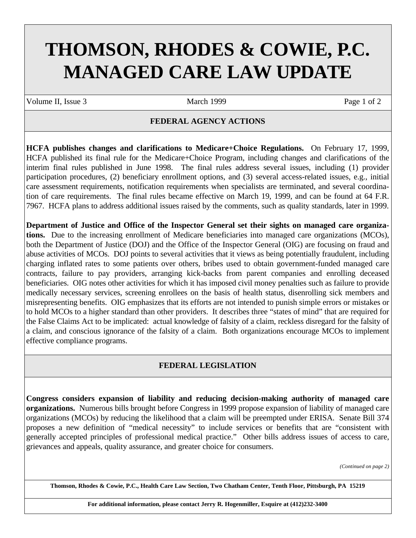# **THOMSON, RHODES & COWIE, P.C. MANAGED CARE LAW UPDATE**

Volume II, Issue 3 March 1999 Page 1 of 2

### **FEDERAL AGENCY ACTIONS**

**HCFA publishes changes and clarifications to Medicare+Choice Regulations.** On February 17, 1999, HCFA published its final rule for the Medicare+Choice Program, including changes and clarifications of the interim final rules published in June 1998. The final rules address several issues, including (1) provider participation procedures, (2) beneficiary enrollment options, and (3) several access-related issues, e.g., initial care assessment requirements, notification requirements when specialists are terminated, and several coordination of care requirements. The final rules became effective on March 19, 1999, and can be found at 64 F.R. 7967. HCFA plans to address additional issues raised by the comments, such as quality standards, later in 1999.

**Department of Justice and Office of the Inspector General set their sights on managed care organizations.** Due to the increasing enrollment of Medicare beneficiaries into managed care organizations (MCOs), both the Department of Justice (DOJ) and the Office of the Inspector General (OIG) are focusing on fraud and abuse activities of MCOs. DOJ points to several activities that it views as being potentially fraudulent, including charging inflated rates to some patients over others, bribes used to obtain government-funded managed care contracts, failure to pay providers, arranging kick-backs from parent companies and enrolling deceased beneficiaries. OIG notes other activities for which it has imposed civil money penalties such as failure to provide medically necessary services, screening enrollees on the basis of health status, disenrolling sick members and misrepresenting benefits. OIG emphasizes that its efforts are not intended to punish simple errors or mistakes or to hold MCOs to a higher standard than other providers. It describes three "states of mind" that are required for the False Claims Act to be implicated: actual knowledge of falsity of a claim, reckless disregard for the falsity of a claim, and conscious ignorance of the falsity of a claim. Both organizations encourage MCOs to implement effective compliance programs.

## **FEDERAL LEGISLATION**

**Congress considers expansion of liability and reducing decision-making authority of managed care organizations.** Numerous bills brought before Congress in 1999 propose expansion of liability of managed care organizations (MCOs) by reducing the likelihood that a claim will be preempted under ERISA. Senate Bill 374 proposes a new definition of "medical necessity" to include services or benefits that are "consistent with generally accepted principles of professional medical practice." Other bills address issues of access to care, grievances and appeals, quality assurance, and greater choice for consumers.

*(Continued on page 2)*

**Thomson, Rhodes & Cowie, P.C., Health Care Law Section, Two Chatham Center, Tenth Floor, Pittsburgh, PA 15219**

**For additional information, please contact Jerry R. Hogenmiller, Esquire at (412)232-3400**